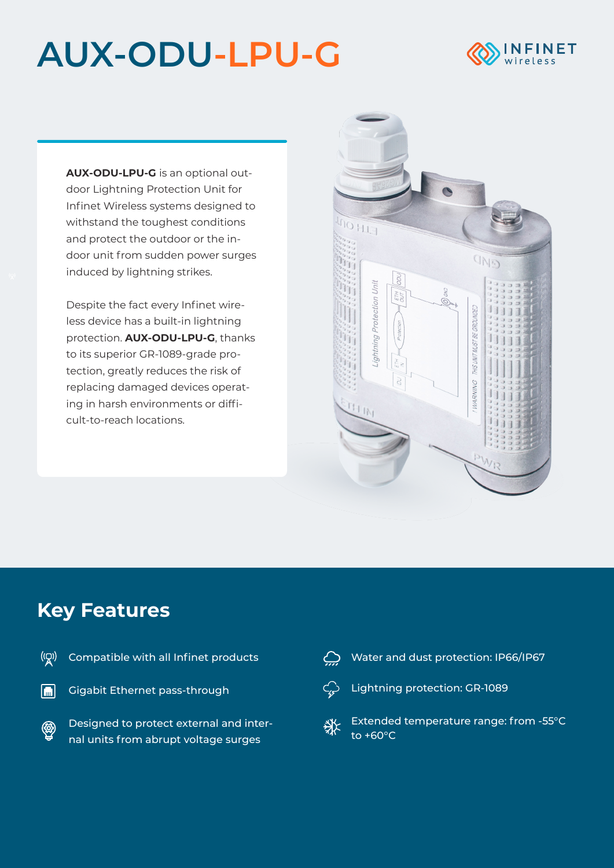## **AUX-ODU-LPU-G**



**AUX-ODU-LPU-G** is an optional outdoor Lightning Protection Unit for Infinet Wireless systems designed to withstand the toughest conditions and protect the outdoor or the indoor unit from sudden power surges induced by lightning strikes.

Despite the fact every Infinet wireless device has a built-in lightning protection. **AUX-ODU-LPU-G**, thanks to its superior GR-1089-grade protection, greatly reduces the risk of replacing damaged devices operating in harsh environments or difficult-to-reach locations.



## **Key Features**

 $\overline{\mathbf{m}}$ 

 $\circledR$ 

|  | $\langle \csc[\mathbf{Q}]\rangle$ - Compatible with all Infinet products |  |  |  |
|--|--------------------------------------------------------------------------|--|--|--|
|--|--------------------------------------------------------------------------|--|--|--|

Gigabit Ethernet pass-through

Designed to protect external and internal units from abrupt voltage surges

Water and dust protection: IP66/IP67  $\bigoplus$ 



Lightning protection: GR-1089

Extended temperature range: from -55°С 湬 to +60°С